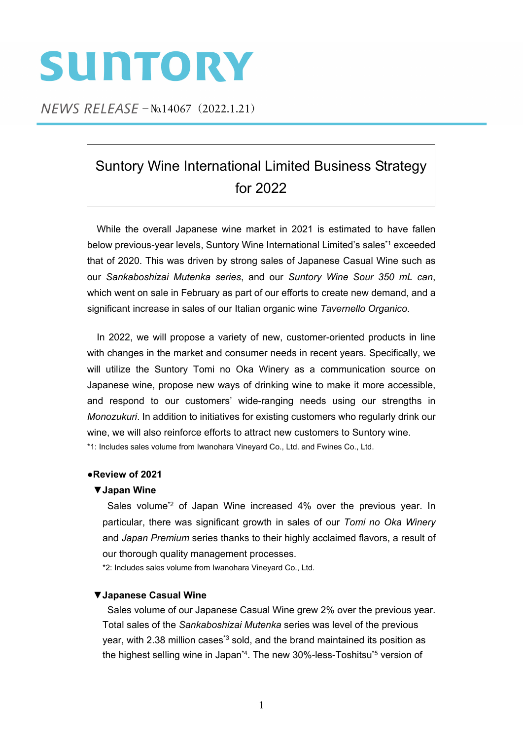# SUNTORY

NEWS RELEASE - No.14067 (2022.1.21)

# Suntory Wine International Limited Business Strategy for 2022

While the overall Japanese wine market in 2021 is estimated to have fallen below previous-year levels, Suntory Wine International Limited's sales\*1 exceeded that of 2020. This was driven by strong sales of Japanese Casual Wine such as our *Sankaboshizai Mutenka series*, and our *Suntory Wine Sour 350 mL can*, which went on sale in February as part of our efforts to create new demand, and a significant increase in sales of our Italian organic wine *Tavernello Organico*.

In 2022, we will propose a variety of new, customer-oriented products in line with changes in the market and consumer needs in recent years. Specifically, we will utilize the Suntory Tomi no Oka Winery as a communication source on Japanese wine, propose new ways of drinking wine to make it more accessible, and respond to our customers' wide-ranging needs using our strengths in *Monozukuri*. In addition to initiatives for existing customers who regularly drink our wine, we will also reinforce efforts to attract new customers to Suntory wine. \*1: Includes sales volume from Iwanohara Vineyard Co., Ltd. and Fwines Co., Ltd.

# **●Review of 2021**

# **▼Japan Wine**

Sales volume<sup>\*2</sup> of Japan Wine increased 4% over the previous year. In particular, there was significant growth in sales of our *Tomi no Oka Winery* and *Japan Premium* series thanks to their highly acclaimed flavors, a result of our thorough quality management processes.

\*2: Includes sales volume from Iwanohara Vineyard Co., Ltd.

# **▼Japanese Casual Wine**

Sales volume of our Japanese Casual Wine grew 2% over the previous year. Total sales of the *Sankaboshizai Mutenka* series was level of the previous year, with 2.38 million cases<sup>\*3</sup> sold, and the brand maintained its position as the highest selling wine in Japan<sup>\*4</sup>. The new 30%-less-Toshitsu<sup>\*5</sup> version of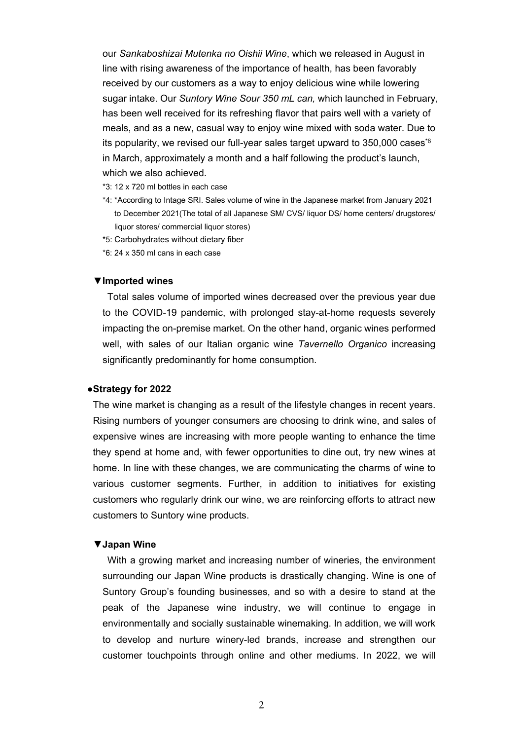our *Sankaboshizai Mutenka no Oishii Wine*, which we released in August in line with rising awareness of the importance of health, has been favorably received by our customers as a way to enjoy delicious wine while lowering sugar intake. Our *Suntory Wine Sour 350 mL can,* which launched in February, has been well received for its refreshing flavor that pairs well with a variety of meals, and as a new, casual way to enjoy wine mixed with soda water. Due to its popularity, we revised our full-year sales target upward to  $350,000$  cases<sup>\*6</sup> in March, approximately a month and a half following the product's launch, which we also achieved.

- \*3: 12 x 720 ml bottles in each case
- \*4: \*According to Intage SRI. Sales volume of wine in the Japanese market from January 2021 to December 2021(The total of all Japanese SM/ CVS/ liquor DS/ home centers/ drugstores/ liquor stores/ commercial liquor stores)
- \*5: Carbohydrates without dietary fiber
- \*6: 24 x 350 ml cans in each case

#### **▼Imported wines**

Total sales volume of imported wines decreased over the previous year due to the COVID-19 pandemic, with prolonged stay-at-home requests severely impacting the on-premise market. On the other hand, organic wines performed well, with sales of our Italian organic wine *Tavernello Organico* increasing significantly predominantly for home consumption.

### **●Strategy for 2022**

The wine market is changing as a result of the lifestyle changes in recent years. Rising numbers of younger consumers are choosing to drink wine, and sales of expensive wines are increasing with more people wanting to enhance the time they spend at home and, with fewer opportunities to dine out, try new wines at home. In line with these changes, we are communicating the charms of wine to various customer segments. Further, in addition to initiatives for existing customers who regularly drink our wine, we are reinforcing efforts to attract new customers to Suntory wine products.

#### **▼Japan Wine**

With a growing market and increasing number of wineries, the environment surrounding our Japan Wine products is drastically changing. Wine is one of Suntory Group's founding businesses, and so with a desire to stand at the peak of the Japanese wine industry, we will continue to engage in environmentally and socially sustainable winemaking. In addition, we will work to develop and nurture winery-led brands, increase and strengthen our customer touchpoints through online and other mediums. In 2022, we will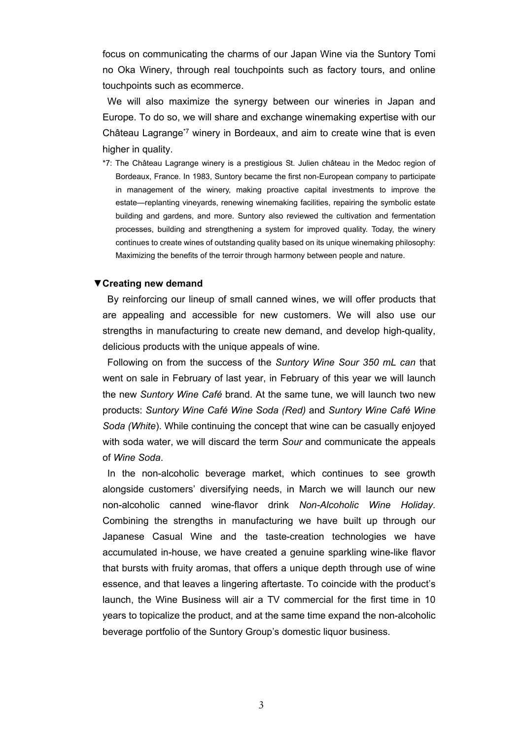focus on communicating the charms of our Japan Wine via the Suntory Tomi no Oka Winery, through real touchpoints such as factory tours, and online touchpoints such as ecommerce.

We will also maximize the synergy between our wineries in Japan and Europe. To do so, we will share and exchange winemaking expertise with our Château Lagrange\*7 winery in Bordeaux, and aim to create wine that is even higher in quality.

\*7: The Château Lagrange winery is a prestigious St. Julien château in the Medoc region of Bordeaux, France. In 1983, Suntory became the first non-European company to participate in management of the winery, making proactive capital investments to improve the estate—replanting vineyards, renewing winemaking facilities, repairing the symbolic estate building and gardens, and more. Suntory also reviewed the cultivation and fermentation processes, building and strengthening a system for improved quality. Today, the winery continues to create wines of outstanding quality based on its unique winemaking philosophy: Maximizing the benefits of the terroir through harmony between people and nature.

### **▼Creating new demand**

By reinforcing our lineup of small canned wines, we will offer products that are appealing and accessible for new customers. We will also use our strengths in manufacturing to create new demand, and develop high-quality, delicious products with the unique appeals of wine.

Following on from the success of the *Suntory Wine Sour 350 mL can* that went on sale in February of last year, in February of this year we will launch the new *Suntory Wine Café* brand. At the same tune, we will launch two new products: *Suntory Wine Café Wine Soda (Red)* and *Suntory Wine Café Wine Soda (White*). While continuing the concept that wine can be casually enjoyed with soda water, we will discard the term *Sour* and communicate the appeals of *Wine Soda*.

In the non-alcoholic beverage market, which continues to see growth alongside customers' diversifying needs, in March we will launch our new non-alcoholic canned wine-flavor drink *Non-Alcoholic Wine Holiday.*  Combining the strengths in manufacturing we have built up through our Japanese Casual Wine and the taste-creation technologies we have accumulated in-house, we have created a genuine sparkling wine-like flavor that bursts with fruity aromas, that offers a unique depth through use of wine essence, and that leaves a lingering aftertaste. To coincide with the product's launch, the Wine Business will air a TV commercial for the first time in 10 years to topicalize the product, and at the same time expand the non-alcoholic beverage portfolio of the Suntory Group's domestic liquor business.